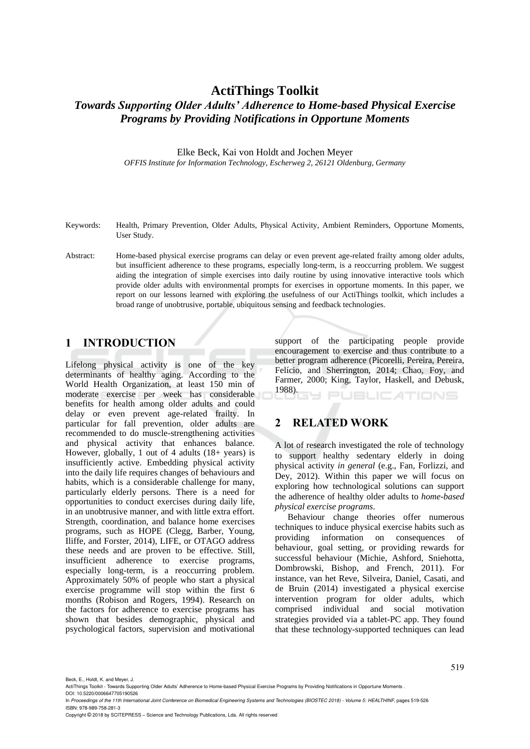# **ActiThings Toolkit** *Towards Supporting Older Adults' Adherence to Home-based Physical Exercise Programs by Providing Notifications in Opportune Moments*

Elke Beck, Kai von Holdt and Jochen Meyer

*OFFIS Institute for Information Technology, Escherweg 2, 26121 Oldenburg, Germany*

- Keywords: Health, Primary Prevention, Older Adults, Physical Activity, Ambient Reminders, Opportune Moments, User Study.
- Abstract: Home-based physical exercise programs can delay or even prevent age-related frailty among older adults, but insufficient adherence to these programs, especially long-term, is a reoccurring problem. We suggest aiding the integration of simple exercises into daily routine by using innovative interactive tools which provide older adults with environmental prompts for exercises in opportune moments. In this paper, we report on our lessons learned with exploring the usefulness of our ActiThings toolkit, which includes a broad range of unobtrusive, portable, ubiquitous sensing and feedback technologies.

### **1 INTRODUCTION**

Lifelong physical activity is one of the key determinants of healthy aging. According to the World Health Organization, at least 150 min of moderate exercise per week has considerable benefits for health among older adults and could delay or even prevent age-related frailty. In particular for fall prevention, older adults are recommended to do muscle-strengthening activities and physical activity that enhances balance. However, globally, 1 out of 4 adults (18+ years) is insufficiently active. Embedding physical activity into the daily life requires changes of behaviours and habits, which is a considerable challenge for many, particularly elderly persons. There is a need for opportunities to conduct exercises during daily life, in an unobtrusive manner, and with little extra effort. Strength, coordination, and balance home exercises programs, such as HOPE (Clegg, Barber, Young, Iliffe, and Forster, 2014), LIFE, or OTAGO address these needs and are proven to be effective. Still, insufficient adherence to exercise programs, especially long-term, is a reoccurring problem. Approximately 50% of people who start a physical exercise programme will stop within the first 6 months (Robison and Rogers, 1994). Research on the factors for adherence to exercise programs has shown that besides demographic, physical and psychological factors, supervision and motivational

support of the participating people provide encouragement to exercise and thus contribute to a better program adherence (Picorelli, Pereira, Pereira, Felício, and Sherrington, 2014; Chao, Foy, and Farmer, 2000; King, Taylor, Haskell, and Debusk, 1988). **JBLICATIONS** 

### **2 RELATED WORK**

A lot of research investigated the role of technology to support healthy sedentary elderly in doing physical activity *in general* (e.g., Fan, Forlizzi, and Dey, 2012). Within this paper we will focus on exploring how technological solutions can support the adherence of healthy older adults to *home-based physical exercise programs*.

Behaviour change theories offer numerous techniques to induce physical exercise habits such as providing information on consequences of behaviour, goal setting, or providing rewards for successful behaviour (Michie, Ashford, Sniehotta, Dombrowski, Bishop, and French, 2011). For instance, van het Reve, Silveira, Daniel, Casati, and de Bruin (2014) investigated a physical exercise intervention program for older adults, which comprised individual and social motivation strategies provided via a tablet-PC app. They found that these technology-supported techniques can lead

Beck, E., Holdt, K. and Meyer, J.

ActiThings Toolkit - Towards Supporting Older Adults' Adherence to Home-based Physical Exercise Programs by Providing Notifications in Opportune Moments . DOI: 10.5220/0006647705190526

In *Proceedings of the 11th International Joint Conference on Biomedical Engineering Systems and Technologies (BIOSTEC 2018) - Volume 5: HEALTHINF*, pages 519-526 ISBN: 978-989-758-281-3

Copyright © 2018 by SCITEPRESS – Science and Technology Publications, Lda. All rights reserved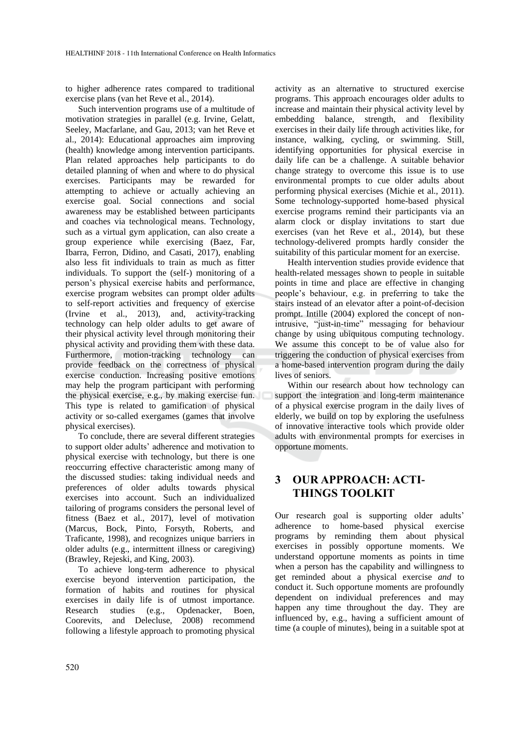to higher adherence rates compared to traditional exercise plans (van het Reve et al., 2014).

Such intervention programs use of a multitude of motivation strategies in parallel (e.g. Irvine, Gelatt, Seeley, Macfarlane, and Gau, 2013; van het Reve et al., 2014): Educational approaches aim improving (health) knowledge among intervention participants. Plan related approaches help participants to do detailed planning of when and where to do physical exercises. Participants may be rewarded for attempting to achieve or actually achieving an exercise goal. Social connections and social awareness may be established between participants and coaches via technological means. Technology, such as a virtual gym application, can also create a group experience while exercising (Baez, Far, Ibarra, Ferron, Didino, and Casati, 2017), enabling also less fit individuals to train as much as fitter individuals. To support the (self-) monitoring of a person's physical exercise habits and performance, exercise program websites can prompt older adults to self-report activities and frequency of exercise (Irvine et al., 2013), and, activity-tracking technology can help older adults to get aware of their physical activity level through monitoring their physical activity and providing them with these data. Furthermore, motion-tracking technology can provide feedback on the correctness of physical exercise conduction. Increasing positive emotions may help the program participant with performing the physical exercise, e.g., by making exercise fun. This type is related to gamification of physical activity or so-called exergames (games that involve physical exercises).

To conclude, there are several different strategies to support older adults' adherence and motivation to physical exercise with technology, but there is one reoccurring effective characteristic among many of the discussed studies: taking individual needs and preferences of older adults towards physical exercises into account. Such an individualized tailoring of programs considers the personal level of fitness (Baez et al., 2017), level of motivation (Marcus, Bock, Pinto, Forsyth, Roberts, and Traficante, 1998), and recognizes unique barriers in older adults (e.g., intermittent illness or caregiving) (Brawley, Rejeski, and King, 2003).

To achieve long-term adherence to physical exercise beyond intervention participation, the formation of habits and routines for physical exercises in daily life is of utmost importance. Research studies (e.g., Opdenacker, Boen, Coorevits, and Delecluse, 2008) recommend following a lifestyle approach to promoting physical

activity as an alternative to structured exercise programs. This approach encourages older adults to increase and maintain their physical activity level by embedding balance, strength, and flexibility exercises in their daily life through activities like, for instance, walking, cycling, or swimming. Still, identifying opportunities for physical exercise in daily life can be a challenge. A suitable behavior change strategy to overcome this issue is to use environmental prompts to cue older adults about performing physical exercises (Michie et al., 2011). Some technology-supported home-based physical exercise programs remind their participants via an alarm clock or display invitations to start due exercises (van het Reve et al., 2014), but these technology-delivered prompts hardly consider the suitability of this particular moment for an exercise.

Health intervention studies provide evidence that health-related messages shown to people in suitable points in time and place are effective in changing people's behaviour, e.g. in preferring to take the stairs instead of an elevator after a point-of-decision prompt. Intille (2004) explored the concept of nonintrusive, "just-in-time" messaging for behaviour change by using ubiquitous computing technology. We assume this concept to be of value also for triggering the conduction of physical exercises from a home-based intervention program during the daily lives of seniors.

Within our research about how technology can support the integration and long-term maintenance of a physical exercise program in the daily lives of elderly, we build on top by exploring the usefulness of innovative interactive tools which provide older adults with environmental prompts for exercises in opportune moments.

## **3 OUR APPROACH: ACTI-THINGS TOOLKIT**

Our research goal is supporting older adults' adherence to home-based physical exercise programs by reminding them about physical exercises in possibly opportune moments. We understand opportune moments as points in time when a person has the capability and willingness to get reminded about a physical exercise *and* to conduct it. Such opportune moments are profoundly dependent on individual preferences and may happen any time throughout the day. They are influenced by, e.g., having a sufficient amount of time (a couple of minutes), being in a suitable spot at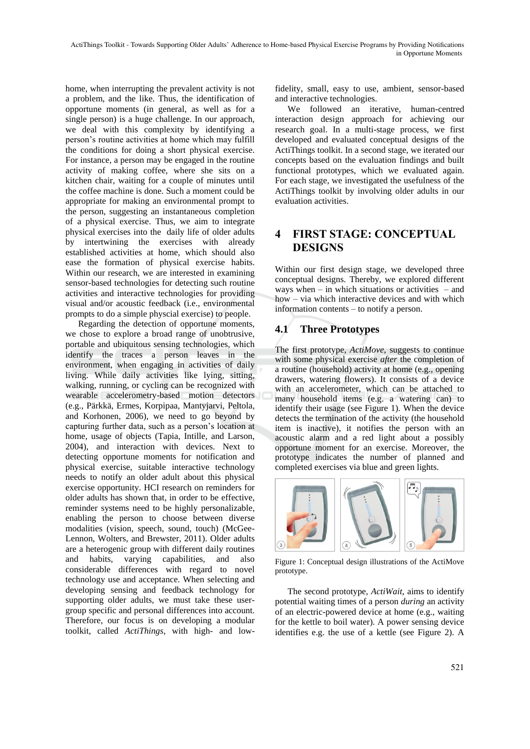home, when interrupting the prevalent activity is not a problem, and the like. Thus, the identification of opportune moments (in general, as well as for a single person) is a huge challenge. In our approach, we deal with this complexity by identifying a person's routine activities at home which may fulfill the conditions for doing a short physical exercise. For instance, a person may be engaged in the routine activity of making coffee, where she sits on a kitchen chair, waiting for a couple of minutes until the coffee machine is done. Such a moment could be appropriate for making an environmental prompt to the person, suggesting an instantaneous completion of a physical exercise. Thus, we aim to integrate physical exercises into the daily life of older adults by intertwining the exercises with already established activities at home, which should also ease the formation of physical exercise habits. Within our research, we are interested in examining sensor-based technologies for detecting such routine activities and interactive technologies for providing visual and/or acoustic feedback (i.e., environmental prompts to do a simple physcial exercise) to people.

Regarding the detection of opportune moments, we chose to explore a broad range of unobtrusive, portable and ubiquitous sensing technologies, which identify the traces a person leaves in the environment, when engaging in activities of daily living. While daily activities like lying, sitting, walking, running, or cycling can be recognized with wearable accelerometry-based motion detectors (e.g., Pärkkä, Ermes, Korpipaa, Mantyjarvi, Peltola, and Korhonen, 2006), we need to go beyond by capturing further data, such as a person's location at home, usage of objects (Tapia, Intille, and Larson, 2004), and interaction with devices. Next to detecting opportune moments for notification and physical exercise, suitable interactive technology needs to notify an older adult about this physical exercise opportunity. HCI research on reminders for older adults has shown that, in order to be effective, reminder systems need to be highly personalizable, enabling the person to choose between diverse modalities (vision, speech, sound, touch) (McGee-Lennon, Wolters, and Brewster, 2011). Older adults are a heterogenic group with different daily routines and habits, varying capabilities, and also considerable differences with regard to novel technology use and acceptance. When selecting and developing sensing and feedback technology for supporting older adults, we must take these usergroup specific and personal differences into account. Therefore, our focus is on developing a modular toolkit, called *ActiThings*, with high- and lowfidelity, small, easy to use, ambient, sensor-based and interactive technologies.

We followed an iterative, human-centred interaction design approach for achieving our research goal. In a multi-stage process, we first developed and evaluated conceptual designs of the ActiThings toolkit. In a second stage, we iterated our concepts based on the evaluation findings and built functional prototypes, which we evaluated again. For each stage, we investigated the usefulness of the ActiThings toolkit by involving older adults in our evaluation activities.

## **4 FIRST STAGE: CONCEPTUAL DESIGNS**

Within our first design stage, we developed three conceptual designs. Thereby, we explored different ways when – in which situations or activities – and how – via which interactive devices and with which information contents – to notify a person.

## **4.1 Three Prototypes**

The first prototype, *ActiMove*, suggests to continue with some physical exercise *after* the completion of a routine (household) activity at home (e.g., opening drawers, watering flowers). It consists of a device with an accelerometer, which can be attached to many household items (e.g. a watering can) to identify their usage (see Figure 1). When the device detects the termination of the activity (the household item is inactive), it notifies the person with an acoustic alarm and a red light about a possibly opportune moment for an exercise. Moreover, the prototype indicates the number of planned and completed exercises via blue and green lights.



Figure 1: Conceptual design illustrations of the ActiMove prototype.

The second prototype, *ActiWait*, aims to identify potential waiting times of a person *during* an activity of an electric-powered device at home (e.g., waiting for the kettle to boil water). A power sensing device identifies e.g. the use of a kettle (see Figure 2). A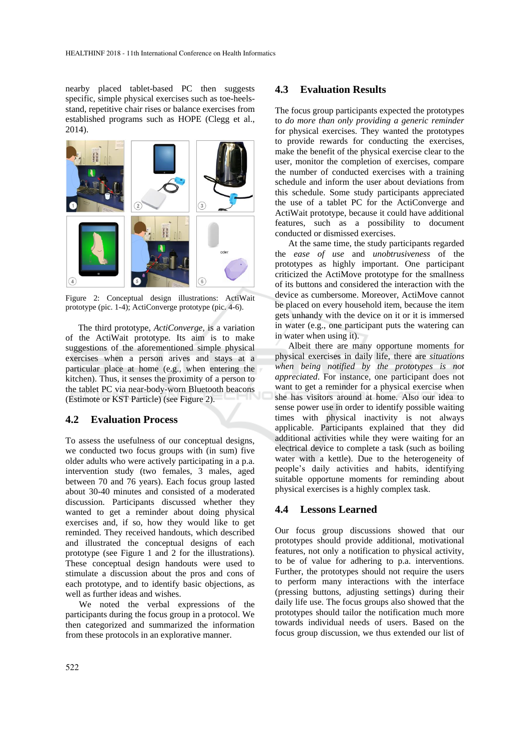nearby placed tablet-based PC then suggests specific, simple physical exercises such as toe-heelsstand, repetitive chair rises or balance exercises from established programs such as HOPE (Clegg et al., 2014).



Figure 2: Conceptual design illustrations: ActiWait prototype (pic. 1-4); ActiConverge prototype (pic. 4-6).

The third prototype, *ActiConverge*, is a variation of the ActiWait prototype. Its aim is to make suggestions of the aforementioned simple physical exercises when a person arives and stays at a particular place at home (e.g., when entering the kitchen). Thus, it senses the proximity of a person to the tablet PC via near-body-worn Bluetooth beacons (Estimote or KST Particle) (see Figure 2).

#### **4.2 Evaluation Process**

To assess the usefulness of our conceptual designs, we conducted two focus groups with (in sum) five older adults who were actively participating in a p.a. intervention study (two females, 3 males, aged between 70 and 76 years). Each focus group lasted about 30-40 minutes and consisted of a moderated discussion. Participants discussed whether they wanted to get a reminder about doing physical exercises and, if so, how they would like to get reminded. They received handouts, which described and illustrated the conceptual designs of each prototype (see Figure 1 and 2 for the illustrations). These conceptual design handouts were used to stimulate a discussion about the pros and cons of each prototype, and to identify basic objections, as well as further ideas and wishes.

We noted the verbal expressions of the participants during the focus group in a protocol. We then categorized and summarized the information from these protocols in an explorative manner.

#### **4.3 Evaluation Results**

The focus group participants expected the prototypes to *do more than only providing a generic reminder* for physical exercises. They wanted the prototypes to provide rewards for conducting the exercises, make the benefit of the physical exercise clear to the user, monitor the completion of exercises, compare the number of conducted exercises with a training schedule and inform the user about deviations from this schedule. Some study participants appreciated the use of a tablet PC for the ActiConverge and ActiWait prototype, because it could have additional features, such as a possibility to document conducted or dismissed exercises.

At the same time, the study participants regarded the *ease of use* and *unobtrusiveness* of the prototypes as highly important. One participant criticized the ActiMove prototype for the smallness of its buttons and considered the interaction with the device as cumbersome. Moreover, ActiMove cannot be placed on every household item, because the item gets unhandy with the device on it or it is immersed in water (e.g., one participant puts the watering can in water when using it).

Albeit there are many opportune moments for physical exercises in daily life, there are *situations when being notified by the prototypes is not appreciated*. For instance, one participant does not want to get a reminder for a physical exercise when she has visitors around at home. Also our idea to sense power use in order to identify possible waiting times with physical inactivity is not always applicable. Participants explained that they did additional activities while they were waiting for an electrical device to complete a task (such as boiling water with a kettle). Due to the heterogeneity of people's daily activities and habits, identifying suitable opportune moments for reminding about physical exercises is a highly complex task.

#### **4.4 Lessons Learned**

Our focus group discussions showed that our prototypes should provide additional, motivational features, not only a notification to physical activity, to be of value for adhering to p.a. interventions. Further, the prototypes should not require the users to perform many interactions with the interface (pressing buttons, adjusting settings) during their daily life use. The focus groups also showed that the prototypes should tailor the notification much more towards individual needs of users. Based on the focus group discussion, we thus extended our list of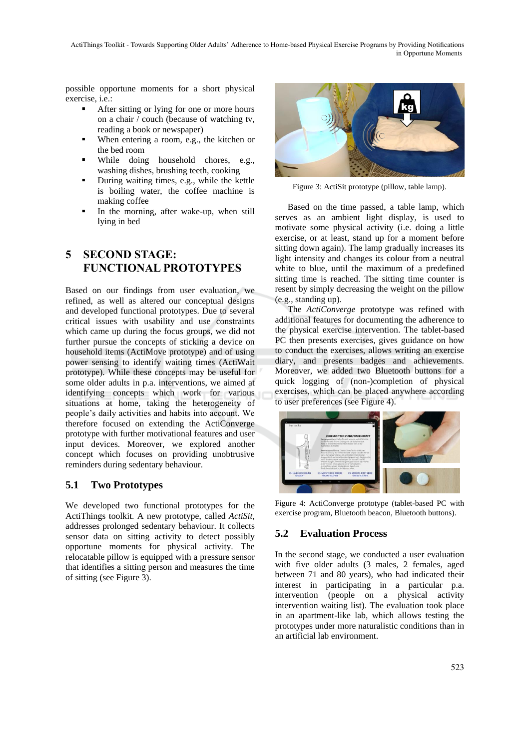ActiThings Toolkit - Towards Supporting Older Adults' Adherence to Home-based Physical Exercise Programs by Providing Notifications in Opportune Moments

possible opportune moments for a short physical exercise, i.e.:

- After sitting or lying for one or more hours on a chair / couch (because of watching tv, reading a book or newspaper)
- When entering a room, e.g., the kitchen or the bed room
- While doing household chores, e.g., washing dishes, brushing teeth, cooking
- During waiting times, e.g., while the kettle is boiling water, the coffee machine is making coffee
- In the morning, after wake-up, when still lying in bed

# **5 SECOND STAGE: FUNCTIONAL PROTOTYPES**

Based on our findings from user evaluation, we refined, as well as altered our conceptual designs and developed functional prototypes. Due to several critical issues with usability and use constraints which came up during the focus groups, we did not further pursue the concepts of sticking a device on household items (ActiMove prototype) and of using power sensing to identify waiting times (ActiWait prototype). While these concepts may be useful for some older adults in p.a. interventions, we aimed at identifying concepts which work for various situations at home, taking the heterogeneity of people's daily activities and habits into account. We therefore focused on extending the ActiConverge prototype with further motivational features and user input devices. Moreover, we explored another concept which focuses on providing unobtrusive reminders during sedentary behaviour.

### **5.1 Two Prototypes**

We developed two functional prototypes for the ActiThings toolkit. A new prototype, called *ActiSit,*  addresses prolonged sedentary behaviour. It collects sensor data on sitting activity to detect possibly opportune moments for physical activity. The relocatable pillow is equipped with a pressure sensor that identifies a sitting person and measures the time of sitting (see Figure 3).



Figure 3: ActiSit prototype (pillow, table lamp).

Based on the time passed, a table lamp, which serves as an ambient light display, is used to motivate some physical activity (i.e. doing a little exercise, or at least, stand up for a moment before sitting down again). The lamp gradually increases its light intensity and changes its colour from a neutral white to blue, until the maximum of a predefined sitting time is reached. The sitting time counter is resent by simply decreasing the weight on the pillow (e.g., standing up).

The *ActiConverge* prototype was refined with additional features for documenting the adherence to the physical exercise intervention. The tablet-based PC then presents exercises, gives guidance on how to conduct the exercises, allows writing an exercise diary, and presents badges and achievements. Moreover, we added two Bluetooth buttons for a quick logging of (non-)completion of physical exercises, which can be placed anywhere according to user preferences (see Figure 4).



Figure 4: ActiConverge prototype (tablet-based PC with exercise program, Bluetooth beacon, Bluetooth buttons).

## **5.2 Evaluation Process**

In the second stage, we conducted a user evaluation with five older adults (3 males, 2 females, aged between 71 and 80 years), who had indicated their interest in participating in a particular p.a. intervention (people on a physical activity intervention waiting list). The evaluation took place in an apartment-like lab, which allows testing the prototypes under more naturalistic conditions than in an artificial lab environment.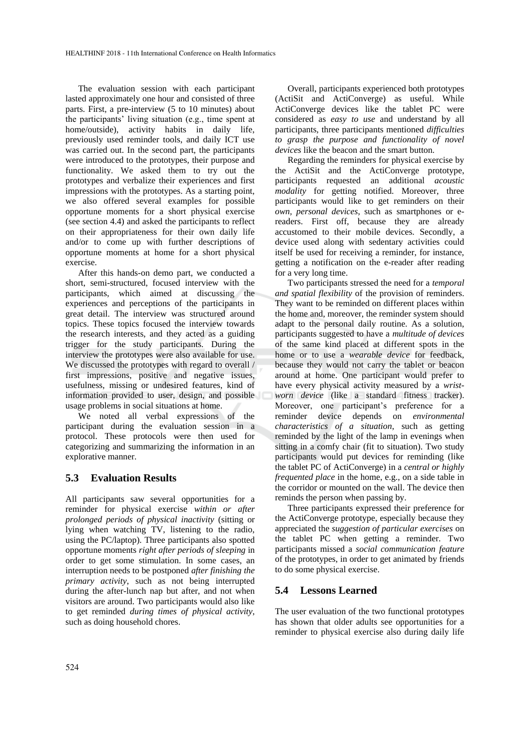The evaluation session with each participant lasted approximately one hour and consisted of three parts. First, a pre-interview (5 to 10 minutes) about the participants' living situation (e.g., time spent at home/outside), activity habits in daily life, previously used reminder tools, and daily ICT use was carried out. In the second part, the participants were introduced to the prototypes, their purpose and functionality. We asked them to try out the prototypes and verbalize their experiences and first impressions with the prototypes. As a starting point, we also offered several examples for possible opportune moments for a short physical exercise (see section 4.4) and asked the participants to reflect on their appropriateness for their own daily life and/or to come up with further descriptions of opportune moments at home for a short physical exercise.

After this hands-on demo part, we conducted a short, semi-structured, focused interview with the participants, which aimed at discussing the experiences and perceptions of the participants in great detail. The interview was structured around topics. These topics focused the interview towards the research interests, and they acted as a guiding trigger for the study participants. During the interview the prototypes were also available for use. We discussed the prototypes with regard to overall / first impressions, positive and negative issues, usefulness, missing or undesired features, kind of information provided to user, design, and possible usage problems in social situations at home.

We noted all verbal expressions of the participant during the evaluation session in a protocol. These protocols were then used for categorizing and summarizing the information in an explorative manner.

#### **5.3 Evaluation Results**

All participants saw several opportunities for a reminder for physical exercise *within or after prolonged periods of physical inactivity* (sitting or lying when watching TV, listening to the radio, using the PC/laptop). Three participants also spotted opportune moments *right after periods of sleeping* in order to get some stimulation. In some cases, an interruption needs to be postponed *after finishing the primary activity*, such as not being interrupted during the after-lunch nap but after, and not when visitors are around. Two participants would also like to get reminded *during times of physical activity*, such as doing household chores.

Overall, participants experienced both prototypes (ActiSit and ActiConverge) as useful. While ActiConverge devices like the tablet PC were considered as *easy to use* and understand by all participants, three participants mentioned *difficulties to grasp the purpose and functionality of novel devices* like the beacon and the smart button.

Regarding the reminders for physical exercise by the ActiSit and the ActiConverge prototype, participants requested an additional *acoustic modality* for getting notified. Moreover, three participants would like to get reminders on their *own, personal devices*, such as smartphones or ereaders. First off, because they are already accustomed to their mobile devices. Secondly, a device used along with sedentary activities could itself be used for receiving a reminder, for instance, getting a notification on the e-reader after reading for a very long time.

Two participants stressed the need for a *temporal and spatial flexibility* of the provision of reminders. They want to be reminded on different places within the home and, moreover, the reminder system should adapt to the personal daily routine. As a solution, participants suggested to have a *multitude of devices* of the same kind placed at different spots in the home or to use a *wearable device* for feedback, because they would not carry the tablet or beacon around at home. One participant would prefer to have every physical activity measured by a *wristworn device* (like a standard fitness tracker). Moreover, one participant's preference for a reminder device depends on *environmental characteristics of a situation*, such as getting reminded by the light of the lamp in evenings when sitting in a comfy chair (fit to situation). Two study participants would put devices for reminding (like the tablet PC of ActiConverge) in a *central or highly frequented place* in the home, e.g., on a side table in the corridor or mounted on the wall. The device then reminds the person when passing by.

Three participants expressed their preference for the ActiConverge prototype, especially because they appreciated the *suggestion of particular exercises* on the tablet PC when getting a reminder. Two participants missed a *social communication feature* of the prototypes, in order to get animated by friends to do some physical exercise.

#### **5.4 Lessons Learned**

The user evaluation of the two functional prototypes has shown that older adults see opportunities for a reminder to physical exercise also during daily life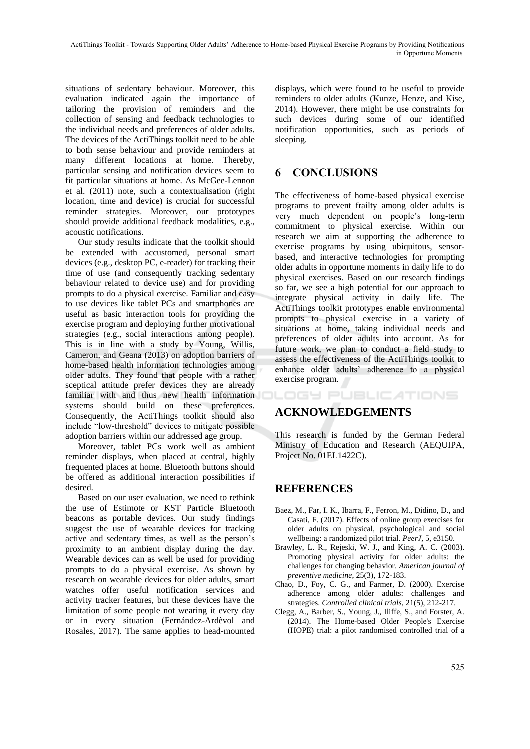situations of sedentary behaviour. Moreover, this evaluation indicated again the importance of tailoring the provision of reminders and the collection of sensing and feedback technologies to the individual needs and preferences of older adults. The devices of the ActiThings toolkit need to be able to both sense behaviour and provide reminders at many different locations at home. Thereby, particular sensing and notification devices seem to fit particular situations at home. As McGee-Lennon et al. (2011) note, such a contextualisation (right location, time and device) is crucial for successful reminder strategies. Moreover, our prototypes should provide additional feedback modalities, e.g., acoustic notifications.

Our study results indicate that the toolkit should be extended with accustomed, personal smart devices (e.g., desktop PC, e-reader) for tracking their time of use (and consequently tracking sedentary behaviour related to device use) and for providing prompts to do a physical exercise. Familiar and easy to use devices like tablet PCs and smartphones are useful as basic interaction tools for providing the exercise program and deploying further motivational strategies (e.g., social interactions among people). This is in line with a study by Young, Willis, Cameron, and Geana (2013) on adoption barriers of home-based health information technologies among older adults. They found that people with a rather sceptical attitude prefer devices they are already familiar with and thus new health information systems should build on these preferences. Consequently, the ActiThings toolkit should also include "low-threshold" devices to mitigate possible adoption barriers within our addressed age group.

Moreover, tablet PCs work well as ambient reminder displays, when placed at central, highly frequented places at home. Bluetooth buttons should be offered as additional interaction possibilities if desired.

Based on our user evaluation, we need to rethink the use of Estimote or KST Particle Bluetooth beacons as portable devices. Our study findings suggest the use of wearable devices for tracking active and sedentary times, as well as the person's proximity to an ambient display during the day. Wearable devices can as well be used for providing prompts to do a physical exercise. As shown by research on wearable devices for older adults, smart watches offer useful notification services and activity tracker features, but these devices have the limitation of some people not wearing it every day or in every situation (Fernández-Ardèvol and Rosales, 2017). The same applies to head-mounted displays, which were found to be useful to provide reminders to older adults (Kunze, Henze, and Kise, 2014). However, there might be use constraints for such devices during some of our identified notification opportunities, such as periods of sleeping.

# **6 CONCLUSIONS**

The effectiveness of home-based physical exercise programs to prevent frailty among older adults is very much dependent on people's long-term commitment to physical exercise. Within our research we aim at supporting the adherence to exercise programs by using ubiquitous, sensorbased, and interactive technologies for prompting older adults in opportune moments in daily life to do physical exercises. Based on our research findings so far, we see a high potential for our approach to integrate physical activity in daily life. The ActiThings toolkit prototypes enable environmental prompts to physical exercise in a variety of situations at home, taking individual needs and preferences of older adults into account. As for future work, we plan to conduct a field study to assess the effectiveness of the ActiThings toolkit to enhance older adults' adherence to a physical exercise program.

OGY PUBLICATIONS

# **ACKNOWLEDGEMENTS**

This research is funded by the German Federal Ministry of Education and Research (AEQUIPA, Project No. 01EL1422C).

# **REFERENCES**

- Baez, M., Far, I. K., Ibarra, F., Ferron, M., Didino, D., and Casati, F. (2017). Effects of online group exercises for older adults on physical, psychological and social wellbeing: a randomized pilot trial. *PeerJ*, 5, e3150.
- Brawley, L. R., Rejeski, W. J., and King, A. C. (2003). Promoting physical activity for older adults: the challenges for changing behavior. *American journal of preventive medicine*, 25(3), 172-183.
- Chao, D., Foy, C. G., and Farmer, D. (2000). Exercise adherence among older adults: challenges and strategies. Controlled clinical trials, 21(5), 212-217.
- Clegg, A., Barber, S., Young, J., Iliffe, S., and Forster, A. (2014). The Home-based Older People's Exercise (HOPE) trial: a pilot randomised controlled trial of a